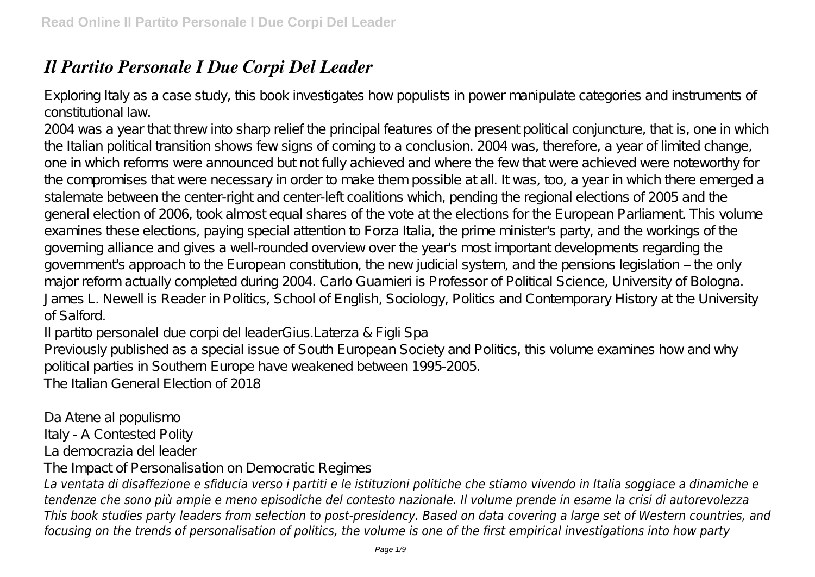## *Il Partito Personale I Due Corpi Del Leader*

Exploring Italy as a case study, this book investigates how populists in power manipulate categories and instruments of constitutional law.

2004 was a year that threw into sharp relief the principal features of the present political conjuncture, that is, one in which the Italian political transition shows few signs of coming to a conclusion. 2004 was, therefore, a year of limited change, one in which reforms were announced but not fully achieved and where the few that were achieved were noteworthy for the compromises that were necessary in order to make them possible at all. It was, too, a year in which there emerged a stalemate between the center-right and center-left coalitions which, pending the regional elections of 2005 and the general election of 2006, took almost equal shares of the vote at the elections for the European Parliament. This volume examines these elections, paying special attention to Forza Italia, the prime minister's party, and the workings of the governing alliance and gives a well-rounded overview over the year's most important developments regarding the government's approach to the European constitution, the new judicial system, and the pensions legislation – the only major reform actually completed during 2004. Carlo Guarnieri is Professor of Political Science, University of Bologna. James L. Newell is Reader in Politics, School of English, Sociology, Politics and Contemporary History at the University of Salford.

Il partito personaleI due corpi del leaderGius.Laterza & Figli Spa

Previously published as a special issue of South European Society and Politics, this volume examines how and why political parties in Southern Europe have weakened between 1995-2005.

The Italian General Election of 2018

Da Atene al populismo Italy - A Contested Polity La democrazia del leader The Impact of Personalisation on Democratic Regimes

*La ventata di disaffezione e sfiducia verso i partiti e le istituzioni politiche che stiamo vivendo in Italia soggiace a dinamiche e tendenze che sono più ampie e meno episodiche del contesto nazionale. Il volume prende in esame la crisi di autorevolezza This book studies party leaders from selection to post-presidency. Based on data covering a large set of Western countries, and focusing on the trends of personalisation of politics, the volume is one of the first empirical investigations into how party*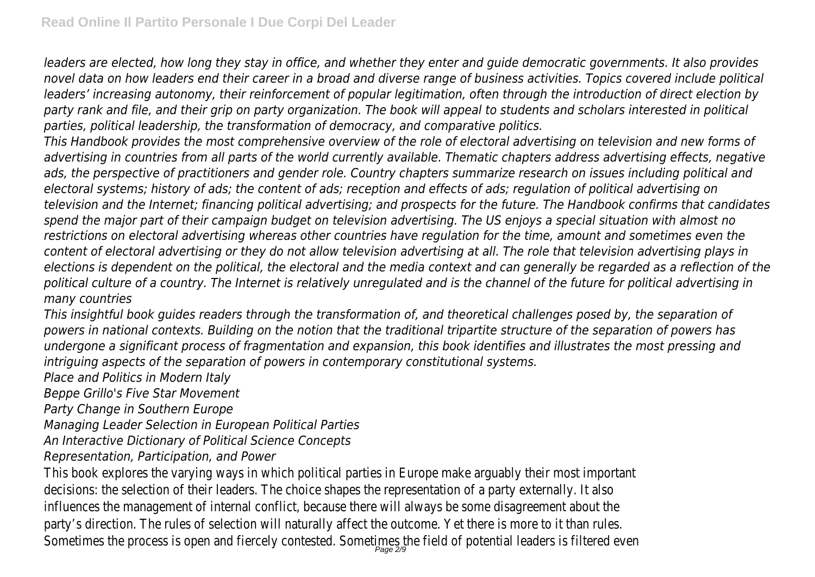*leaders are elected, how long they stay in office, and whether they enter and guide democratic governments. It also provides novel data on how leaders end their career in a broad and diverse range of business activities. Topics covered include political leaders' increasing autonomy, their reinforcement of popular legitimation, often through the introduction of direct election by party rank and file, and their grip on party organization. The book will appeal to students and scholars interested in political parties, political leadership, the transformation of democracy, and comparative politics.*

*This Handbook provides the most comprehensive overview of the role of electoral advertising on television and new forms of advertising in countries from all parts of the world currently available. Thematic chapters address advertising effects, negative ads, the perspective of practitioners and gender role. Country chapters summarize research on issues including political and electoral systems; history of ads; the content of ads; reception and effects of ads; regulation of political advertising on television and the Internet; financing political advertising; and prospects for the future. The Handbook confirms that candidates spend the major part of their campaign budget on television advertising. The US enjoys a special situation with almost no restrictions on electoral advertising whereas other countries have regulation for the time, amount and sometimes even the content of electoral advertising or they do not allow television advertising at all. The role that television advertising plays in elections is dependent on the political, the electoral and the media context and can generally be regarded as a reflection of the political culture of a country. The Internet is relatively unregulated and is the channel of the future for political advertising in many countries*

*This insightful book guides readers through the transformation of, and theoretical challenges posed by, the separation of powers in national contexts. Building on the notion that the traditional tripartite structure of the separation of powers has undergone a significant process of fragmentation and expansion, this book identifies and illustrates the most pressing and intriguing aspects of the separation of powers in contemporary constitutional systems.*

*Place and Politics in Modern Italy*

*Beppe Grillo's Five Star Movement*

*Party Change in Southern Europe*

*Managing Leader Selection in European Political Parties*

*An Interactive Dictionary of Political Science Concepts*

*Representation, Participation, and Power*

This book explores the varying ways in which political parties in Europe make arguably their most important decisions: the selection of their leaders. The choice shapes the representation of a party externally. It also influences the management of internal conflict, because there will always be some disagreement about the party's direction. The rules of selection will naturally affect the outcome. Yet there is more to it than rules. Sometimes the process is open and fiercely contested. Sometimes the field of potential leaders is filtered even Page 2/9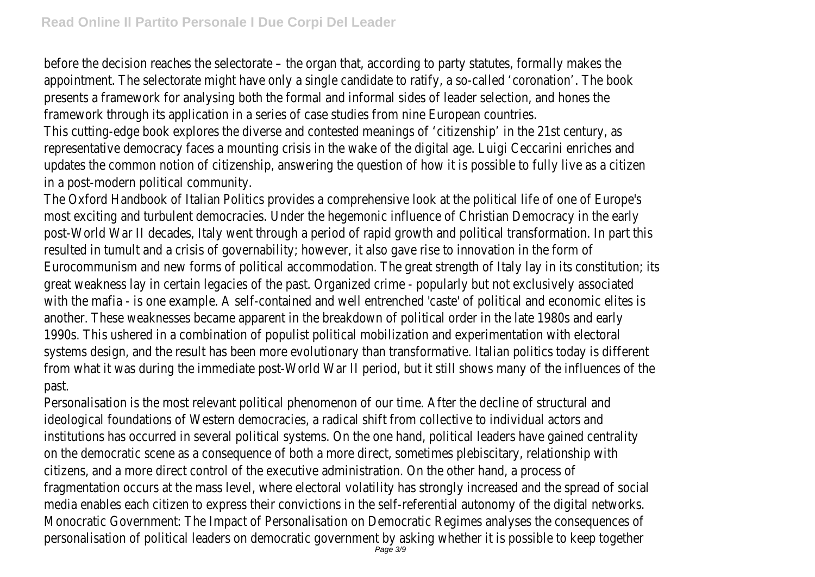before the decision reaches the selectorate – the organ that, according to party statutes, formally makes the appointment. The selectorate might have only a single candidate to ratify, a so-called 'coronation'. The book presents a framework for analysing both the formal and informal sides of leader selection, and hones the framework through its application in a series of case studies from nine European countries.

This cutting-edge book explores the diverse and contested meanings of 'citizenship' in the 21st century, as representative democracy faces a mounting crisis in the wake of the digital age. Luigi Ceccarini enriches and updates the common notion of citizenship, answering the question of how it is possible to fully live as a citizen in a post-modern political community.

The Oxford Handbook of Italian Politics provides a comprehensive look at the political life of one of Europe's most exciting and turbulent democracies. Under the hegemonic influence of Christian Democracy in the early post-World War II decades, Italy went through a period of rapid growth and political transformation. In part this resulted in tumult and a crisis of governability; however, it also gave rise to innovation in the form of Eurocommunism and new forms of political accommodation. The great strength of Italy lay in its constitution; its great weakness lay in certain legacies of the past. Organized crime - popularly but not exclusively associated with the mafia - is one example. A self-contained and well entrenched 'caste' of political and economic elites is another. These weaknesses became apparent in the breakdown of political order in the late 1980s and early 1990s. This ushered in a combination of populist political mobilization and experimentation with electoral systems design, and the result has been more evolutionary than transformative. Italian politics today is different from what it was during the immediate post-World War II period, but it still shows many of the influences of the past.

Personalisation is the most relevant political phenomenon of our time. After the decline of structural and ideological foundations of Western democracies, a radical shift from collective to individual actors and institutions has occurred in several political systems. On the one hand, political leaders have gained centrality on the democratic scene as a consequence of both a more direct, sometimes plebiscitary, relationship with citizens, and a more direct control of the executive administration. On the other hand, a process of fragmentation occurs at the mass level, where electoral volatility has strongly increased and the spread of social media enables each citizen to express their convictions in the self-referential autonomy of the digital networks. Monocratic Government: The Impact of Personalisation on Democratic Regimes analyses the consequences of personalisation of political leaders on democratic government by asking whether it is possible to keep together Page 3/9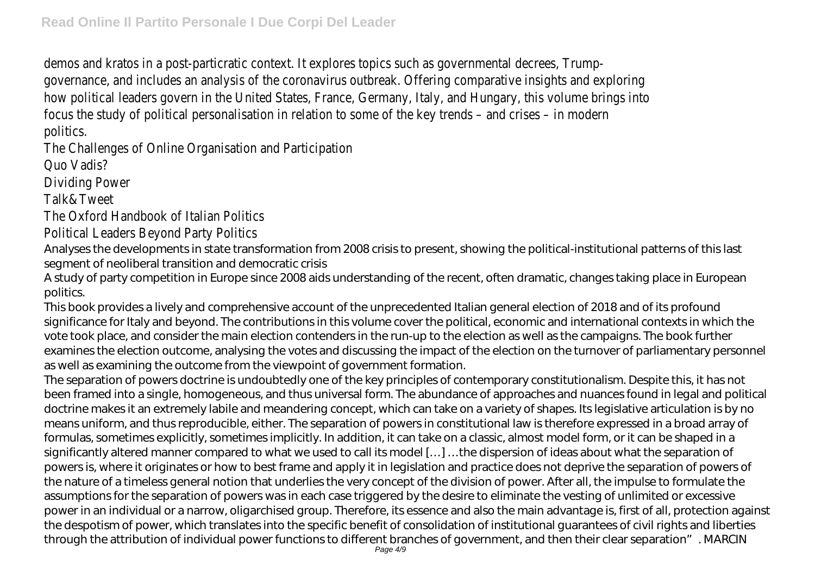demos and kratos in a post-particratic context. It explores topics such as governmental decrees, Trumpgovernance, and includes an analysis of the coronavirus outbreak. Offering comparative insights and exploring how political leaders govern in the United States, France, Germany, Italy, and Hungary, this volume brings into focus the study of political personalisation in relation to some of the key trends – and crises – in modern politics.

The Challenges of Online Organisation and Participation

Quo Vadis?

Dividing Power

Talk&Tweet

The Oxford Handbook of Italian Politics

Political Leaders Beyond Party Politics

Analyses the developments in state transformation from 2008 crisis to present, showing the political-institutional patterns of this last segment of neoliberal transition and democratic crisis

A study of party competition in Europe since 2008 aids understanding of the recent, often dramatic, changes taking place in European politics.

This book provides a lively and comprehensive account of the unprecedented Italian general election of 2018 and of its profound significance for Italy and beyond. The contributions in this volume cover the political, economic and international contexts in which the vote took place, and consider the main election contenders in the run-up to the election as well as the campaigns. The book further examines the election outcome, analysing the votes and discussing the impact of the election on the turnover of parliamentary personnel as well as examining the outcome from the viewpoint of government formation.

The separation of powers doctrine is undoubtedly one of the key principles of contemporary constitutionalism. Despite this, it has not been framed into a single, homogeneous, and thus universal form. The abundance of approaches and nuances found in legal and political doctrine makes it an extremely labile and meandering concept, which can take on a variety of shapes. Its legislative articulation is by no means uniform, and thus reproducible, either. The separation of powers in constitutional law is therefore expressed in a broad array of formulas, sometimes explicitly, sometimes implicitly. In addition, it can take on a classic, almost model form, or it can be shaped in a significantly altered manner compared to what we used to call its model […] …the dispersion of ideas about what the separation of powers is, where it originates or how to best frame and apply it in legislation and practice does not deprive the separation of powers of the nature of a timeless general notion that underlies the very concept of the division of power. After all, the impulse to formulate the assumptions for the separation of powers was in each case triggered by the desire to eliminate the vesting of unlimited or excessive power in an individual or a narrow, oligarchised group. Therefore, its essence and also the main advantage is, first of all, protection against the despotism of power, which translates into the specific benefit of consolidation of institutional guarantees of civil rights and liberties through the attribution of individual power functions to different branches of government, and then their clear separation". MARCIN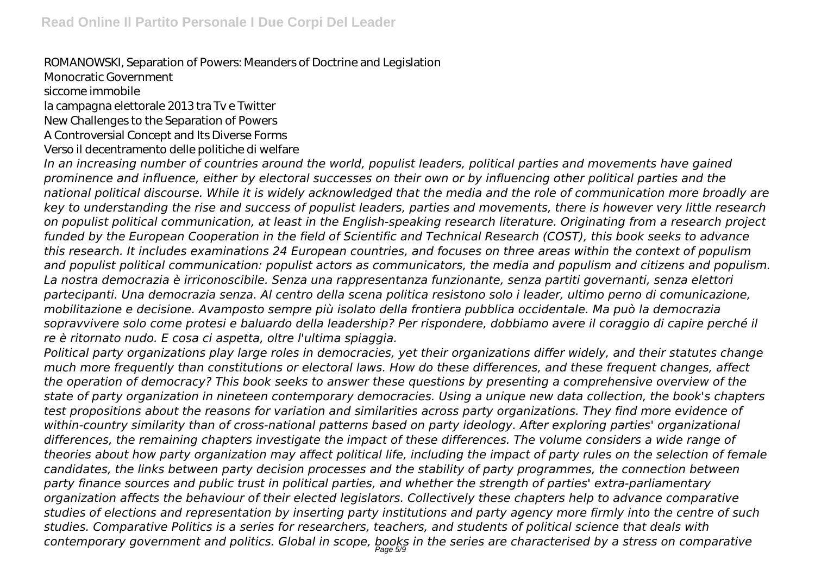## ROMANOWSKI, Separation of Powers: Meanders of Doctrine and Legislation

Monocratic Government

siccome immobile

la campagna elettorale 2013 tra Tv e Twitter

New Challenges to the Separation of Powers

A Controversial Concept and Its Diverse Forms

Verso il decentramento delle politiche di welfare

*In an increasing number of countries around the world, populist leaders, political parties and movements have gained prominence and influence, either by electoral successes on their own or by influencing other political parties and the national political discourse. While it is widely acknowledged that the media and the role of communication more broadly are key to understanding the rise and success of populist leaders, parties and movements, there is however very little research on populist political communication, at least in the English-speaking research literature. Originating from a research project funded by the European Cooperation in the field of Scientific and Technical Research (COST), this book seeks to advance this research. It includes examinations 24 European countries, and focuses on three areas within the context of populism and populist political communication: populist actors as communicators, the media and populism and citizens and populism. La nostra democrazia è irriconoscibile. Senza una rappresentanza funzionante, senza partiti governanti, senza elettori partecipanti. Una democrazia senza. Al centro della scena politica resistono solo i leader, ultimo perno di comunicazione, mobilitazione e decisione. Avamposto sempre più isolato della frontiera pubblica occidentale. Ma può la democrazia sopravvivere solo come protesi e baluardo della leadership? Per rispondere, dobbiamo avere il coraggio di capire perché il re è ritornato nudo. E cosa ci aspetta, oltre l'ultima spiaggia.*

*Political party organizations play large roles in democracies, yet their organizations differ widely, and their statutes change much more frequently than constitutions or electoral laws. How do these differences, and these frequent changes, affect the operation of democracy? This book seeks to answer these questions by presenting a comprehensive overview of the state of party organization in nineteen contemporary democracies. Using a unique new data collection, the book's chapters test propositions about the reasons for variation and similarities across party organizations. They find more evidence of within-country similarity than of cross-national patterns based on party ideology. After exploring parties' organizational differences, the remaining chapters investigate the impact of these differences. The volume considers a wide range of theories about how party organization may affect political life, including the impact of party rules on the selection of female candidates, the links between party decision processes and the stability of party programmes, the connection between party finance sources and public trust in political parties, and whether the strength of parties' extra-parliamentary organization affects the behaviour of their elected legislators. Collectively these chapters help to advance comparative studies of elections and representation by inserting party institutions and party agency more firmly into the centre of such studies. Comparative Politics is a series for researchers, teachers, and students of political science that deals with contemporary government and politics. Global in scope, books in the series are characterised by a stress on comparative* Page 5/9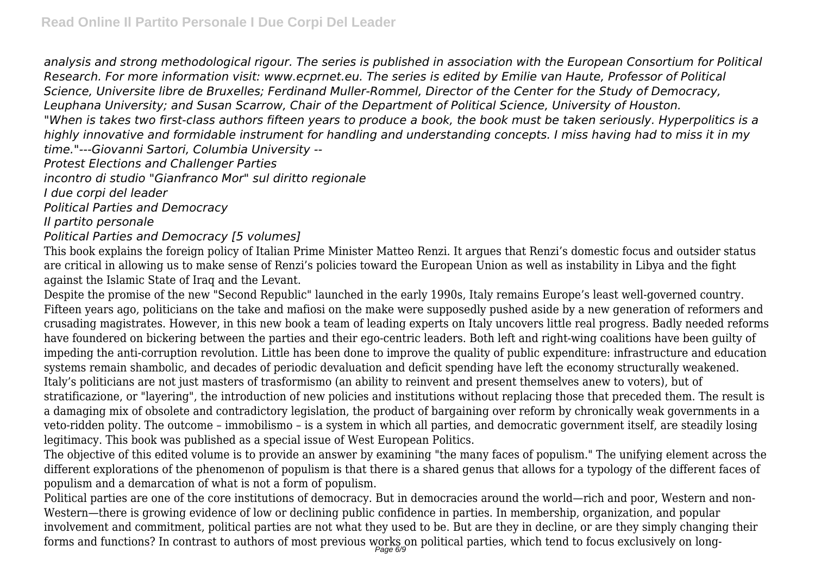*analysis and strong methodological rigour. The series is published in association with the European Consortium for Political Research. For more information visit: www.ecprnet.eu. The series is edited by Emilie van Haute, Professor of Political Science, Universite libre de Bruxelles; Ferdinand Muller-Rommel, Director of the Center for the Study of Democracy, Leuphana University; and Susan Scarrow, Chair of the Department of Political Science, University of Houston. "When is takes two first-class authors fifteen years to produce a book, the book must be taken seriously. Hyperpolitics is a highly innovative and formidable instrument for handling and understanding concepts. I miss having had to miss it in my time."---Giovanni Sartori, Columbia University --*

*Protest Elections and Challenger Parties*

*incontro di studio "Gianfranco Mor" sul diritto regionale*

*I due corpi del leader*

*Political Parties and Democracy*

*Il partito personale*

*Political Parties and Democracy [5 volumes]*

This book explains the foreign policy of Italian Prime Minister Matteo Renzi. It argues that Renzi's domestic focus and outsider status are critical in allowing us to make sense of Renzi's policies toward the European Union as well as instability in Libya and the fight against the Islamic State of Iraq and the Levant.

Despite the promise of the new "Second Republic" launched in the early 1990s, Italy remains Europe's least well-governed country. Fifteen years ago, politicians on the take and mafiosi on the make were supposedly pushed aside by a new generation of reformers and crusading magistrates. However, in this new book a team of leading experts on Italy uncovers little real progress. Badly needed reforms have foundered on bickering between the parties and their ego-centric leaders. Both left and right-wing coalitions have been guilty of impeding the anti-corruption revolution. Little has been done to improve the quality of public expenditure: infrastructure and education systems remain shambolic, and decades of periodic devaluation and deficit spending have left the economy structurally weakened. Italy's politicians are not just masters of trasformismo (an ability to reinvent and present themselves anew to voters), but of stratificazione, or "layering", the introduction of new policies and institutions without replacing those that preceded them. The result is a damaging mix of obsolete and contradictory legislation, the product of bargaining over reform by chronically weak governments in a veto-ridden polity. The outcome – immobilismo – is a system in which all parties, and democratic government itself, are steadily losing legitimacy. This book was published as a special issue of West European Politics.

The objective of this edited volume is to provide an answer by examining "the many faces of populism." The unifying element across the different explorations of the phenomenon of populism is that there is a shared genus that allows for a typology of the different faces of populism and a demarcation of what is not a form of populism.

Political parties are one of the core institutions of democracy. But in democracies around the world—rich and poor, Western and non-Western—there is growing evidence of low or declining public confidence in parties. In membership, organization, and popular involvement and commitment, political parties are not what they used to be. But are they in decline, or are they simply changing their forms and functions? In contrast to authors of most previous works on political parties, which tend to focus exclusively on long-Page 6/9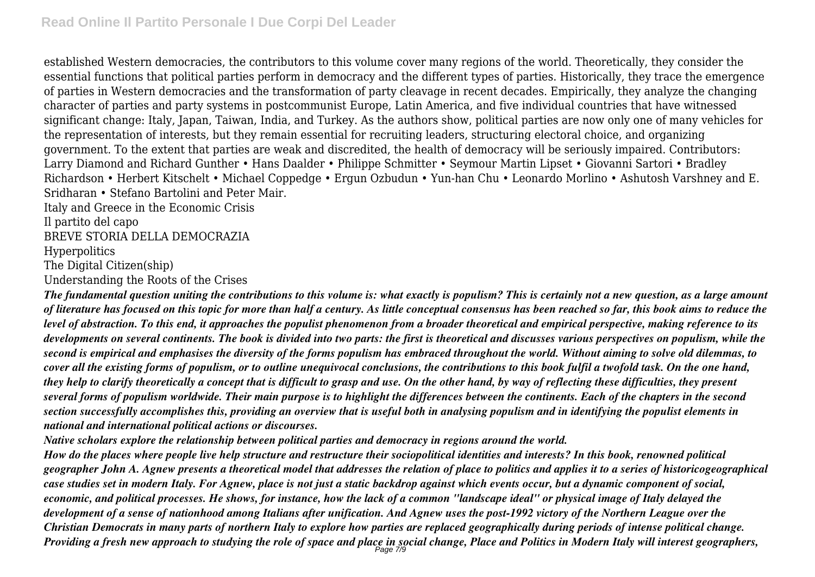established Western democracies, the contributors to this volume cover many regions of the world. Theoretically, they consider the essential functions that political parties perform in democracy and the different types of parties. Historically, they trace the emergence of parties in Western democracies and the transformation of party cleavage in recent decades. Empirically, they analyze the changing character of parties and party systems in postcommunist Europe, Latin America, and five individual countries that have witnessed significant change: Italy, Japan, Taiwan, India, and Turkey. As the authors show, political parties are now only one of many vehicles for the representation of interests, but they remain essential for recruiting leaders, structuring electoral choice, and organizing government. To the extent that parties are weak and discredited, the health of democracy will be seriously impaired. Contributors: Larry Diamond and Richard Gunther • Hans Daalder • Philippe Schmitter • Seymour Martin Lipset • Giovanni Sartori • Bradley Richardson • Herbert Kitschelt • Michael Coppedge • Ergun Ozbudun • Yun-han Chu • Leonardo Morlino • Ashutosh Varshney and E. Sridharan • Stefano Bartolini and Peter Mair.

Italy and Greece in the Economic Crisis

Il partito del capo

BREVE STORIA DELLA DEMOCRAZIA

**Hyperpolitics** 

The Digital Citizen(ship)

Understanding the Roots of the Crises

*The fundamental question uniting the contributions to this volume is: what exactly is populism? This is certainly not a new question, as a large amount of literature has focused on this topic for more than half a century. As little conceptual consensus has been reached so far, this book aims to reduce the level of abstraction. To this end, it approaches the populist phenomenon from a broader theoretical and empirical perspective, making reference to its developments on several continents. The book is divided into two parts: the first is theoretical and discusses various perspectives on populism, while the second is empirical and emphasises the diversity of the forms populism has embraced throughout the world. Without aiming to solve old dilemmas, to cover all the existing forms of populism, or to outline unequivocal conclusions, the contributions to this book fulfil a twofold task. On the one hand, they help to clarify theoretically a concept that is difficult to grasp and use. On the other hand, by way of reflecting these difficulties, they present several forms of populism worldwide. Their main purpose is to highlight the differences between the continents. Each of the chapters in the second section successfully accomplishes this, providing an overview that is useful both in analysing populism and in identifying the populist elements in national and international political actions or discourses.*

*Native scholars explore the relationship between political parties and democracy in regions around the world.*

*How do the places where people live help structure and restructure their sociopolitical identities and interests? In this book, renowned political geographer John A. Agnew presents a theoretical model that addresses the relation of place to politics and applies it to a series of historicogeographical case studies set in modern Italy. For Agnew, place is not just a static backdrop against which events occur, but a dynamic component of social, economic, and political processes. He shows, for instance, how the lack of a common "landscape ideal" or physical image of Italy delayed the development of a sense of nationhood among Italians after unification. And Agnew uses the post-1992 victory of the Northern League over the Christian Democrats in many parts of northern Italy to explore how parties are replaced geographically during periods of intense political change.* Providing a fresh new approach to studying the role of space and place in social change, Place and Politics in Modern Italy will interest geographers,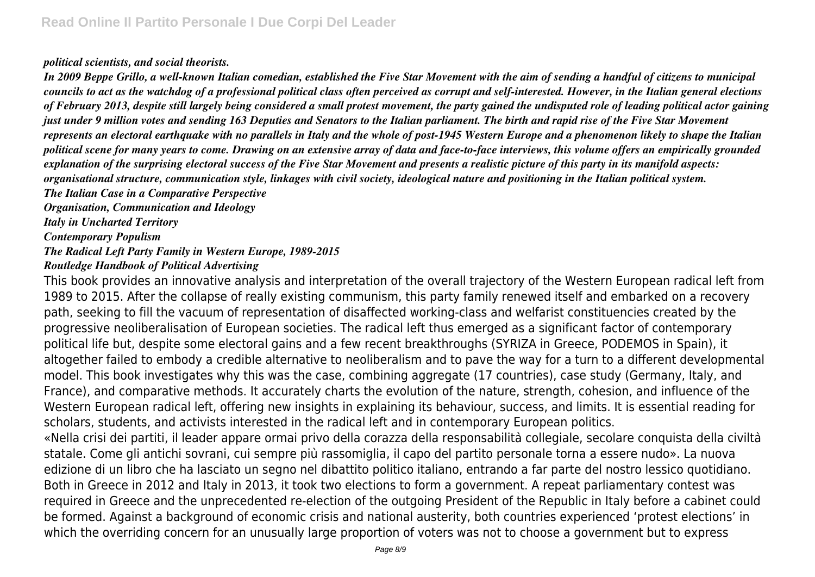## *political scientists, and social theorists.*

*In 2009 Beppe Grillo, a well-known Italian comedian, established the Five Star Movement with the aim of sending a handful of citizens to municipal councils to act as the watchdog of a professional political class often perceived as corrupt and self-interested. However, in the Italian general elections of February 2013, despite still largely being considered a small protest movement, the party gained the undisputed role of leading political actor gaining just under 9 million votes and sending 163 Deputies and Senators to the Italian parliament. The birth and rapid rise of the Five Star Movement represents an electoral earthquake with no parallels in Italy and the whole of post-1945 Western Europe and a phenomenon likely to shape the Italian political scene for many years to come. Drawing on an extensive array of data and face-to-face interviews, this volume offers an empirically grounded explanation of the surprising electoral success of the Five Star Movement and presents a realistic picture of this party in its manifold aspects: organisational structure, communication style, linkages with civil society, ideological nature and positioning in the Italian political system. The Italian Case in a Comparative Perspective*

*Organisation, Communication and Ideology*

*Italy in Uncharted Territory*

*Contemporary Populism*

*The Radical Left Party Family in Western Europe, 1989-2015*

## *Routledge Handbook of Political Advertising*

This book provides an innovative analysis and interpretation of the overall trajectory of the Western European radical left from 1989 to 2015. After the collapse of really existing communism, this party family renewed itself and embarked on a recovery path, seeking to fill the vacuum of representation of disaffected working-class and welfarist constituencies created by the progressive neoliberalisation of European societies. The radical left thus emerged as a significant factor of contemporary political life but, despite some electoral gains and a few recent breakthroughs (SYRIZA in Greece, PODEMOS in Spain), it altogether failed to embody a credible alternative to neoliberalism and to pave the way for a turn to a different developmental model. This book investigates why this was the case, combining aggregate (17 countries), case study (Germany, Italy, and France), and comparative methods. It accurately charts the evolution of the nature, strength, cohesion, and influence of the Western European radical left, offering new insights in explaining its behaviour, success, and limits. It is essential reading for scholars, students, and activists interested in the radical left and in contemporary European politics. «Nella crisi dei partiti, il leader appare ormai privo della corazza della responsabilità collegiale, secolare conquista della civiltà statale. Come gli antichi sovrani, cui sempre più rassomiglia, il capo del partito personale torna a essere nudo». La nuova edizione di un libro che ha lasciato un segno nel dibattito politico italiano, entrando a far parte del nostro lessico quotidiano. Both in Greece in 2012 and Italy in 2013, it took two elections to form a government. A repeat parliamentary contest was required in Greece and the unprecedented re-election of the outgoing President of the Republic in Italy before a cabinet could be formed. Against a background of economic crisis and national austerity, both countries experienced 'protest elections' in

which the overriding concern for an unusually large proportion of voters was not to choose a government but to express